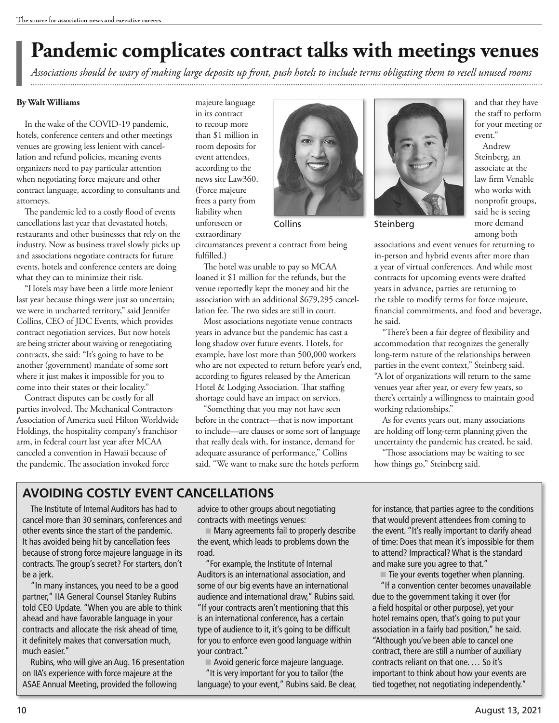## **Pandemic complicates contract talks with meetings venues**

*Associations should be wary of making large deposits up front, push hotels to include terms obligating them to resell unused rooms*  

#### **By Walt Williams**

In the wake of the COVID-19 pandemic, hotels, conference centers and other meetings venues are growing less lenient with cancellation and refund policies, meaning events organizers need to pay particular attention when negotiating force majeure and other contract language, according to consultants and attorneys.

The pandemic led to a costly flood of events cancellations last year that devastated hotels, restaurants and other businesses that rely on the industry. Now as business travel slowly picks up and associations negotiate contracts for future events, hotels and conference centers are doing what they can to minimize their risk.

"Hotels may have been a little more lenient last year because things were just so uncertain; we were in uncharted territory," said Jennifer Collins, CEO of JDC Events, which provides contract negotiation services. But now hotels are being stricter about waiving or renegotiating contracts, she said: "It's going to have to be another (government) mandate of some sort where it just makes it impossible for you to come into their states or their locality."

Contract disputes can be costly for all parties involved. The Mechanical Contractors Association of America sued Hilton Worldwide Holdings, the hospitality company's franchisor arm, in federal court last year after MCAA canceled a convention in Hawaii because of the pandemic. The association invoked force

majeure language in its contract to recoup more than \$1 million in room deposits for event attendees, according to the news site Law360. (Force majeure frees a party from liability when unforeseen or extraordinary



circumstances prevent a contract from being fulfilled.)

The hotel was unable to pay so MCAA loaned it \$1 million for the refunds, but the venue reportedly kept the money and hit the association with an additional \$679,295 cancellation fee. The two sides are still in court.

Most associations negotiate venue contracts years in advance but the pandemic has cast a long shadow over future events. Hotels, for example, have lost more than 500,000 workers who are not expected to return before year's end, according to figures released by the American Hotel & Lodging Association. That staffing shortage could have an impact on services.

"Something that you may not have seen before in the contract—that is now important to include—are clauses or some sort of language that really deals with, for instance, demand for adequate assurance of performance," Collins said. "We want to make sure the hotels perform



Collins Steinberg

and that they have the staff to perform for your meeting or event."

Andrew Steinberg, an associate at the law firm Venable who works with nonprofit groups, said he is seeing more demand among both

associations and event venues for returning to in-person and hybrid events after more than a year of virtual conferences. And while most contracts for upcoming events were drafted years in advance, parties are returning to the table to modify terms for force majeure, financial commitments, and food and beverage, he said.

"There's been a fair degree of flexibility and accommodation that recognizes the generally long-term nature of the relationships between parties in the event context," Steinberg said. "A lot of organizations will return to the same venues year after year, or every few years, so there's certainly a willingness to maintain good working relationships."

As for events years out, many associations are holding off long-term planning given the uncertainty the pandemic has created, he said.

"Those associations may be waiting to see how things go," Steinberg said.

### **AVOIDING COSTLY EVENT CANCELLATIONS**

The Institute of Internal Auditors has had to cancel more than 30 seminars, conferences and other events since the start of the pandemic. It has avoided being hit by cancellation fees because of strong force majeure language in its contracts. The group's secret? For starters, don't be a jerk.

"In many instances, you need to be a good partner," IIA General Counsel Stanley Rubins told CEO Update. "When you are able to think ahead and have favorable language in your contracts and allocate the risk ahead of time, it definitely makes that conversation much, much easier."

Rubins, who will give an Aug. 16 presentation on IIA's experience with force majeure at the ASAE Annual Meeting, provided the following

advice to other groups about negotiating contracts with meetings venues:

■ Many agreements fail to properly describe the event, which leads to problems down the road.

"For example, the Institute of Internal Auditors is an international association, and some of our big events have an international audience and international draw," Rubins said. "If your contracts aren't mentioning that this is an international conference, has a certain type of audience to it, it's going to be difficult for you to enforce even good language within your contract."

 ■ Avoid generic force majeure language. "It is very important for you to tailor (the language) to your event," Rubins said. Be clear, for instance, that parties agree to the conditions that would prevent attendees from coming to the event. "It's really important to clarify ahead of time: Does that mean it's impossible for them to attend? Impractical? What is the standard and make sure you agree to that."

■ Tie your events together when planning.

"If a convention center becomes unavailable due to the government taking it over (for a field hospital or other purpose), yet your hotel remains open, that's going to put your association in a fairly bad position," he said. "Although you've been able to cancel one contract, there are still a number of auxiliary contracts reliant on that one. … So it's important to think about how your events are tied together, not negotiating independently."